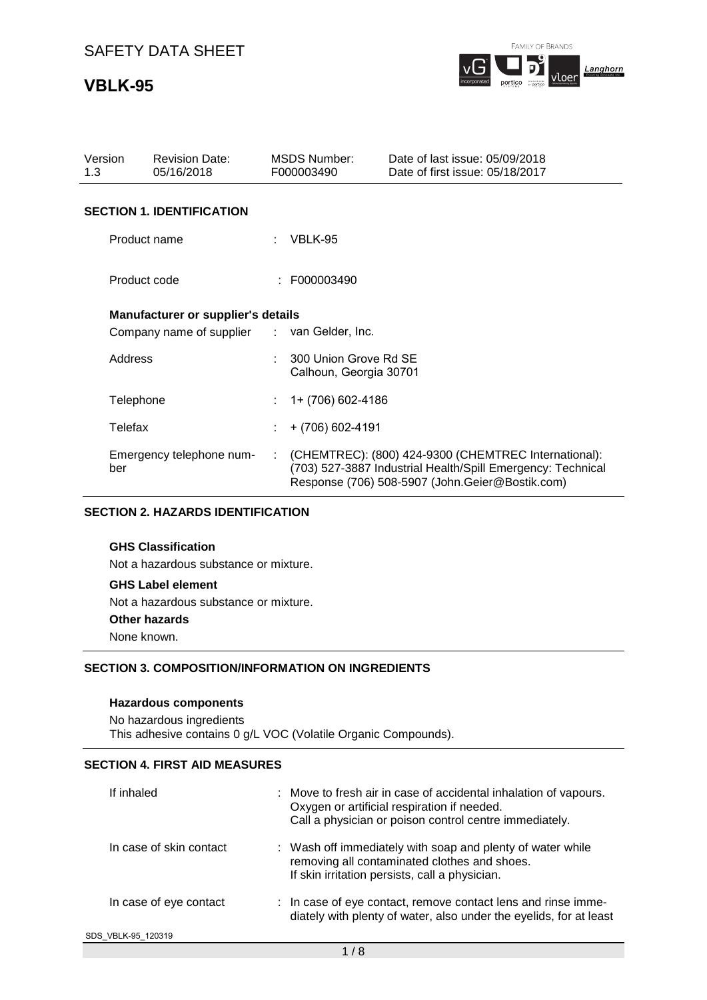## **VBLK-95**



| Version<br>1.3 | <b>Revision Date:</b><br>05/16/2018         |        | <b>MSDS Number:</b><br>F000003490               | Date of last issue: 05/09/2018<br>Date of first issue: 05/18/2017                                                                                                      |
|----------------|---------------------------------------------|--------|-------------------------------------------------|------------------------------------------------------------------------------------------------------------------------------------------------------------------------|
|                | <b>SECTION 1. IDENTIFICATION</b>            |        |                                                 |                                                                                                                                                                        |
|                | Product name                                |        | $:$ VBLK-95                                     |                                                                                                                                                                        |
|                | Product code                                |        | : F000003490                                    |                                                                                                                                                                        |
|                | <b>Manufacturer or supplier's details</b>   |        |                                                 |                                                                                                                                                                        |
|                | Company name of supplier : van Gelder, Inc. |        |                                                 |                                                                                                                                                                        |
| Address        |                                             |        | 300 Union Grove Rd SE<br>Calhoun, Georgia 30701 |                                                                                                                                                                        |
|                | Telephone                                   |        | 1+ (706) 602-4186                               |                                                                                                                                                                        |
| Telefax        |                                             |        | + (706) 602-4191                                |                                                                                                                                                                        |
| ber            | Emergency telephone num-                    | $\sim$ |                                                 | (CHEMTREC): (800) 424-9300 (CHEMTREC International):<br>(703) 527-3887 Industrial Health/Spill Emergency: Technical<br>Response (706) 508-5907 (John.Geier@Bostik.com) |

### **SECTION 2. HAZARDS IDENTIFICATION**

## **GHS Classification**

Not a hazardous substance or mixture.

#### **GHS Label element**

Not a hazardous substance or mixture.

#### **Other hazards**

None known.

### **SECTION 3. COMPOSITION/INFORMATION ON INGREDIENTS**

### **Hazardous components**

No hazardous ingredients This adhesive contains 0 g/L VOC (Volatile Organic Compounds).

## **SECTION 4. FIRST AID MEASURES**

| If inhaled              | : Move to fresh air in case of accidental inhalation of vapours.<br>Oxygen or artificial respiration if needed.<br>Call a physician or poison control centre immediately. |
|-------------------------|---------------------------------------------------------------------------------------------------------------------------------------------------------------------------|
| In case of skin contact | : Wash off immediately with soap and plenty of water while<br>removing all contaminated clothes and shoes.<br>If skin irritation persists, call a physician.              |
| In case of eye contact  | : In case of eye contact, remove contact lens and rinse imme-<br>diately with plenty of water, also under the eyelids, for at least                                       |
| SDS VBLK-95 120319      |                                                                                                                                                                           |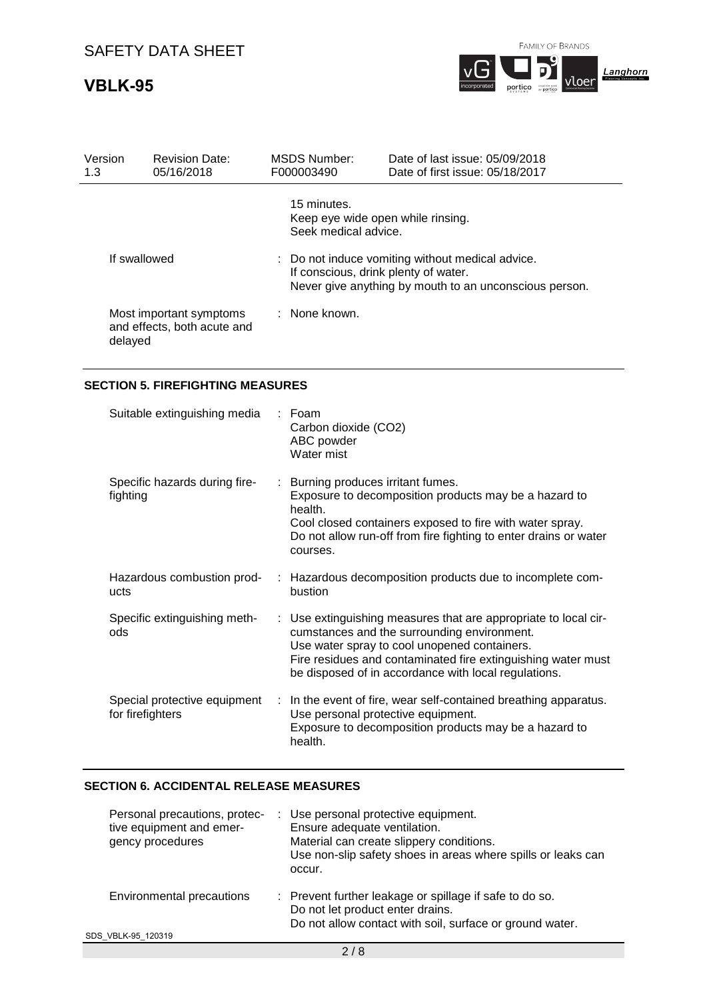## **VBLK-95**



| Version<br>1.3 | <b>Revision Date:</b><br>05/16/2018                    | MSDS Number:<br>F000003490          | Date of last issue: 05/09/2018<br>Date of first issue: 05/18/2017                                                                                  |
|----------------|--------------------------------------------------------|-------------------------------------|----------------------------------------------------------------------------------------------------------------------------------------------------|
|                |                                                        | 15 minutes.<br>Seek medical advice. | Keep eye wide open while rinsing.                                                                                                                  |
| If swallowed   |                                                        |                                     | : Do not induce vomiting without medical advice.<br>If conscious, drink plenty of water.<br>Never give anything by mouth to an unconscious person. |
| delayed        | Most important symptoms<br>and effects, both acute and | : None known.                       |                                                                                                                                                    |

## **SECTION 5. FIREFIGHTING MEASURES**

| Suitable extinguishing media                     | $\therefore$ Foam<br>Carbon dioxide (CO2)<br>ABC powder<br>Water mist                                                                                                                                                                                                                  |
|--------------------------------------------------|----------------------------------------------------------------------------------------------------------------------------------------------------------------------------------------------------------------------------------------------------------------------------------------|
| Specific hazards during fire-<br>fighting        | : Burning produces irritant fumes.<br>Exposure to decomposition products may be a hazard to<br>health.<br>Cool closed containers exposed to fire with water spray.<br>Do not allow run-off from fire fighting to enter drains or water<br>courses.                                     |
| Hazardous combustion prod-<br>ucts               | : Hazardous decomposition products due to incomplete com-<br>bustion                                                                                                                                                                                                                   |
| Specific extinguishing meth-<br>ods              | : Use extinguishing measures that are appropriate to local cir-<br>cumstances and the surrounding environment.<br>Use water spray to cool unopened containers.<br>Fire residues and contaminated fire extinguishing water must<br>be disposed of in accordance with local regulations. |
| Special protective equipment<br>for firefighters | : In the event of fire, wear self-contained breathing apparatus.<br>Use personal protective equipment.<br>Exposure to decomposition products may be a hazard to<br>health.                                                                                                             |

## **SECTION 6. ACCIDENTAL RELEASE MEASURES**

| Personal precautions, protec-<br>tive equipment and emer-<br>gency procedures | : Use personal protective equipment.<br>Ensure adequate ventilation.<br>Material can create slippery conditions.<br>Use non-slip safety shoes in areas where spills or leaks can<br>occur. |  |
|-------------------------------------------------------------------------------|--------------------------------------------------------------------------------------------------------------------------------------------------------------------------------------------|--|
| Environmental precautions                                                     | : Prevent further leakage or spillage if safe to do so.<br>Do not let product enter drains.<br>Do not allow contact with soil, surface or ground water.                                    |  |
| SDS VBLK-95 120319                                                            |                                                                                                                                                                                            |  |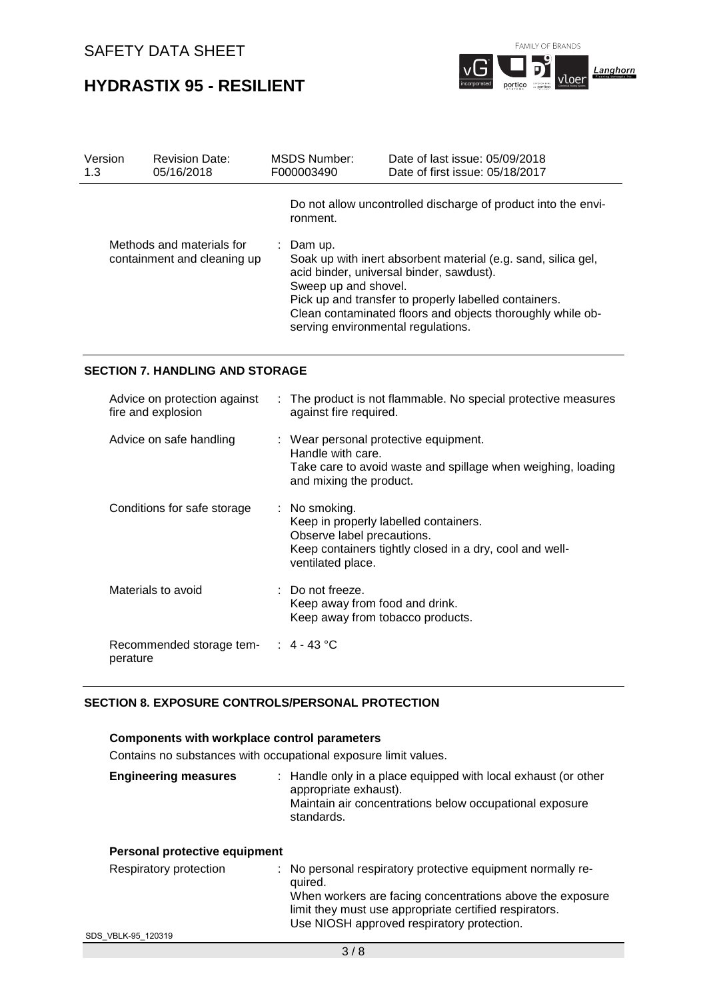**HYDRASTIX 95 - RESILIENT**



| Version<br>1.3 | <b>Revision Date:</b><br>05/16/2018                      | <b>MSDS Number:</b><br>F000003490 | Date of last issue: 05/09/2018<br>Date of first issue: 05/18/2017                                                                                                                                                                                                      |
|----------------|----------------------------------------------------------|-----------------------------------|------------------------------------------------------------------------------------------------------------------------------------------------------------------------------------------------------------------------------------------------------------------------|
|                |                                                          | ronment.                          | Do not allow uncontrolled discharge of product into the envi-                                                                                                                                                                                                          |
|                | Methods and materials for<br>containment and cleaning up | : Dam up.<br>Sweep up and shovel. | Soak up with inert absorbent material (e.g. sand, silica gel,<br>acid binder, universal binder, sawdust).<br>Pick up and transfer to properly labelled containers.<br>Clean contaminated floors and objects thoroughly while ob-<br>serving environmental regulations. |

## **SECTION 7. HANDLING AND STORAGE**

| Advice on protection against<br>fire and explosion | : The product is not flammable. No special protective measures<br>against fire required.                                                                                        |
|----------------------------------------------------|---------------------------------------------------------------------------------------------------------------------------------------------------------------------------------|
| Advice on safe handling                            | : Wear personal protective equipment.<br>Handle with care.<br>Take care to avoid waste and spillage when weighing, loading<br>and mixing the product.                           |
| Conditions for safe storage                        | $\therefore$ No smoking.<br>Keep in properly labelled containers.<br>Observe label precautions.<br>Keep containers tightly closed in a dry, cool and well-<br>ventilated place. |
| Materials to avoid                                 | $\therefore$ Do not freeze.<br>Keep away from food and drink.<br>Keep away from tobacco products.                                                                               |
| Recommended storage tem- : 4 - 43 °C<br>perature   |                                                                                                                                                                                 |

## **SECTION 8. EXPOSURE CONTROLS/PERSONAL PROTECTION**

## **Components with workplace control parameters**

Contains no substances with occupational exposure limit values.

| <b>Engineering measures</b> | : Handle only in a place equipped with local exhaust (or other<br>appropriate exhaust).<br>Maintain air concentrations below occupational exposure<br>standards. |
|-----------------------------|------------------------------------------------------------------------------------------------------------------------------------------------------------------|
|                             |                                                                                                                                                                  |

| Personal protective equipment |                                                                                                                                                                                                                                             |
|-------------------------------|---------------------------------------------------------------------------------------------------------------------------------------------------------------------------------------------------------------------------------------------|
| Respiratory protection        | : No personal respiratory protective equipment normally re-<br>quired.<br>When workers are facing concentrations above the exposure<br>limit they must use appropriate certified respirators.<br>Use NIOSH approved respiratory protection. |
|                               |                                                                                                                                                                                                                                             |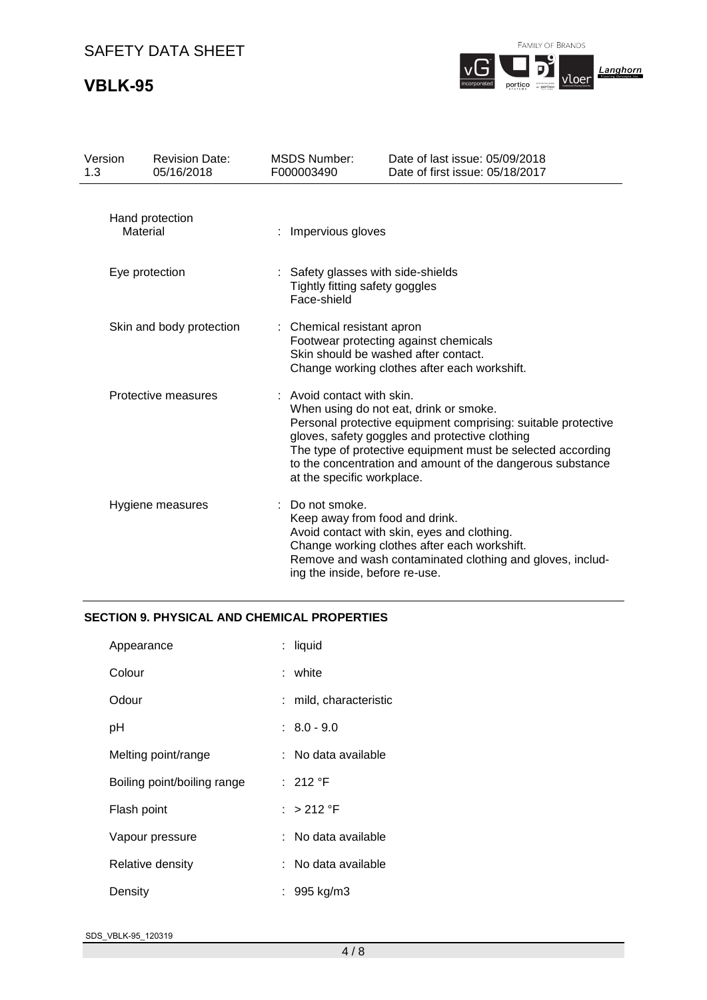## **VBLK-95**

FAMILY OF BRANDS



| Version<br>1.3      | <b>Revision Date:</b><br>05/16/2018 | <b>MSDS Number:</b><br>F000003490                                                 | Date of last issue: 05/09/2018<br>Date of first issue: 05/18/2017                                                                                                                                                                                                                      |
|---------------------|-------------------------------------|-----------------------------------------------------------------------------------|----------------------------------------------------------------------------------------------------------------------------------------------------------------------------------------------------------------------------------------------------------------------------------------|
|                     | Hand protection<br>Material         | Impervious gloves                                                                 |                                                                                                                                                                                                                                                                                        |
| Eye protection      |                                     | Safety glasses with side-shields<br>Tightly fitting safety goggles<br>Face-shield |                                                                                                                                                                                                                                                                                        |
|                     | Skin and body protection            | Chemical resistant apron                                                          | Footwear protecting against chemicals<br>Skin should be washed after contact.<br>Change working clothes after each workshift.                                                                                                                                                          |
| Protective measures |                                     | Avoid contact with skin.<br>at the specific workplace.                            | When using do not eat, drink or smoke.<br>Personal protective equipment comprising: suitable protective<br>gloves, safety goggles and protective clothing<br>The type of protective equipment must be selected according<br>to the concentration and amount of the dangerous substance |
|                     | Hygiene measures                    | Do not smoke.<br>ing the inside, before re-use.                                   | Keep away from food and drink.<br>Avoid contact with skin, eyes and clothing.<br>Change working clothes after each workshift.<br>Remove and wash contaminated clothing and gloves, includ-                                                                                             |

### **SECTION 9. PHYSICAL AND CHEMICAL PROPERTIES**

| Appearance                  | : liquid               |
|-----------------------------|------------------------|
| Colour                      | : white                |
| Odour                       | : mild, characteristic |
| рH                          | $: 8.0 - 9.0$          |
| Melting point/range         | : No data available    |
| Boiling point/boiling range | : 212 $\degree$ F      |
| Flash point                 | : $>212$ °F            |
| Vapour pressure             | : No data available    |
| Relative density            | : No data available    |
| Density                     | : 995 kg/m3            |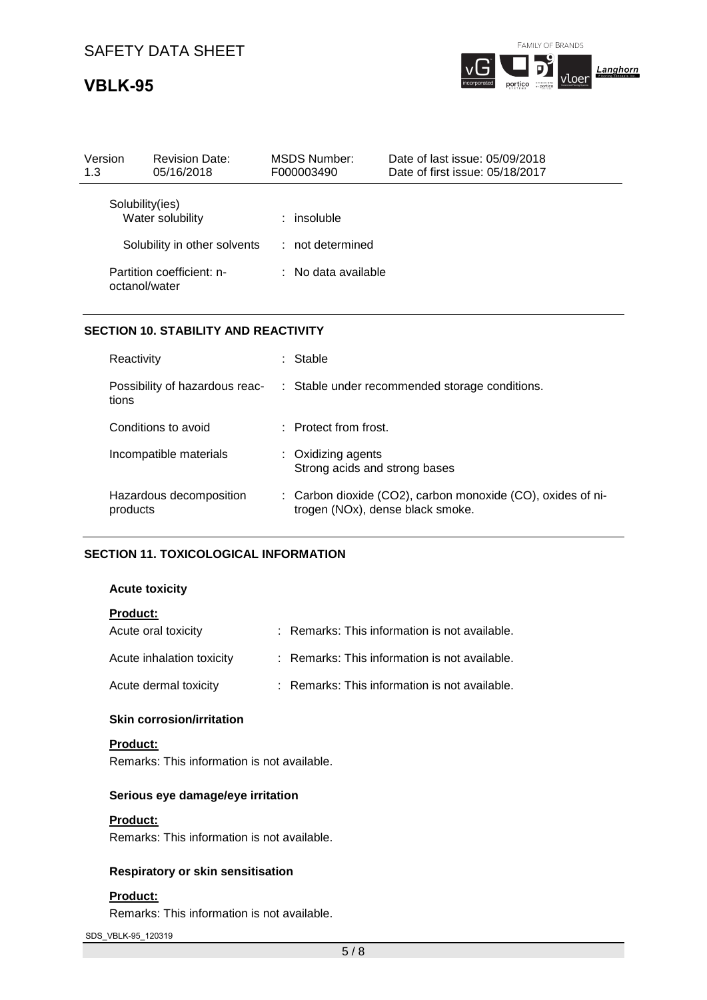## **VBLK-95**



| Version<br>1.3  | <b>Revision Date:</b><br>05/16/2018 | MSDS Number:<br>F000003490 | Date of last issue: 05/09/2018<br>Date of first issue: 05/18/2017 |  |
|-----------------|-------------------------------------|----------------------------|-------------------------------------------------------------------|--|
| Solubility(ies) | Water solubility                    | : insoluble                |                                                                   |  |
|                 | Solubility in other solvents        | $:$ not determined         |                                                                   |  |
| octanol/water   | Partition coefficient: n-           | : No data available        |                                                                   |  |

### **SECTION 10. STABILITY AND REACTIVITY**

| Reactivity                              | : Stable                                                                                        |
|-----------------------------------------|-------------------------------------------------------------------------------------------------|
| Possibility of hazardous reac-<br>tions | : Stable under recommended storage conditions.                                                  |
| Conditions to avoid                     | $\pm$ Protect from frost.                                                                       |
| Incompatible materials                  | : Oxidizing agents<br>Strong acids and strong bases                                             |
| Hazardous decomposition<br>products     | : Carbon dioxide (CO2), carbon monoxide (CO), oxides of ni-<br>trogen (NOx), dense black smoke. |

## **SECTION 11. TOXICOLOGICAL INFORMATION**

#### **Acute toxicity**

| <b>Product:</b>           |                                               |
|---------------------------|-----------------------------------------------|
| Acute oral toxicity       | : Remarks: This information is not available. |
| Acute inhalation toxicity | : Remarks: This information is not available. |
| Acute dermal toxicity     | : Remarks: This information is not available. |

#### **Skin corrosion/irritation**

#### **Product:**

Remarks: This information is not available.

## **Serious eye damage/eye irritation**

#### **Product:**

Remarks: This information is not available.

## **Respiratory or skin sensitisation**

### **Product:**

Remarks: This information is not available.

SDS\_VBLK-95\_120319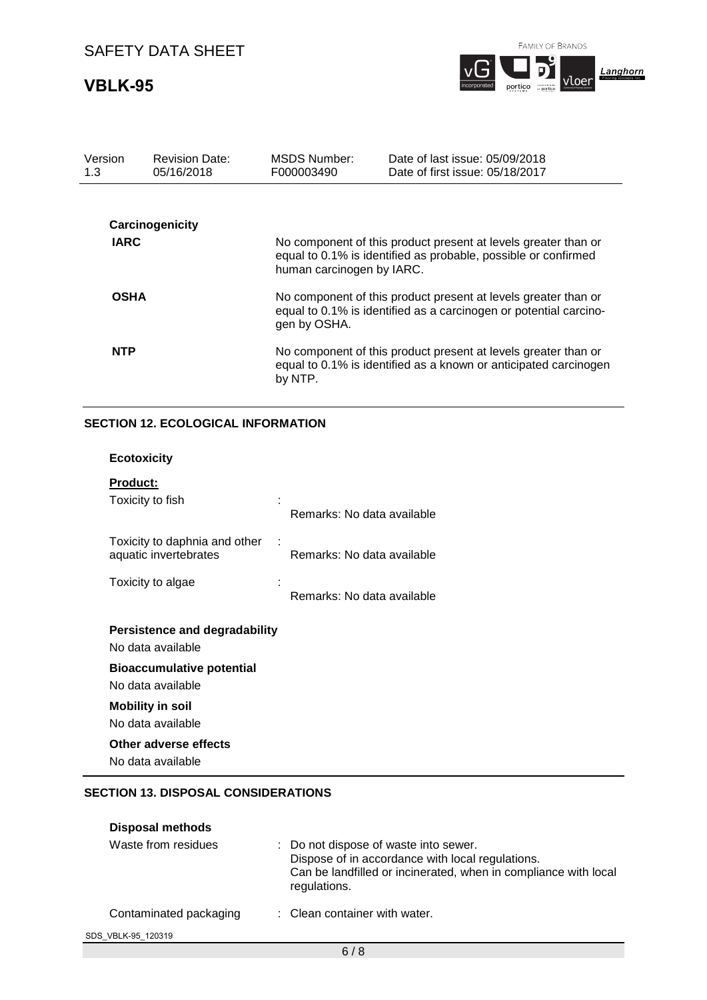## **VBLK-95**



portico <sub>"portico</sub>

| Version<br>1.3 | <b>Revision Date:</b><br>05/16/2018 | <b>MSDS Number:</b><br>F000003490                                                                                                                   | Date of last issue: 05/09/2018<br>Date of first issue: 05/18/2017                                                                  |
|----------------|-------------------------------------|-----------------------------------------------------------------------------------------------------------------------------------------------------|------------------------------------------------------------------------------------------------------------------------------------|
|                |                                     |                                                                                                                                                     |                                                                                                                                    |
|                | Carcinogenicity                     |                                                                                                                                                     |                                                                                                                                    |
| <b>IARC</b>    |                                     | human carcinogen by IARC.                                                                                                                           | No component of this product present at levels greater than or<br>equal to 0.1% is identified as probable, possible or confirmed   |
| <b>OSHA</b>    |                                     | No component of this product present at levels greater than or<br>equal to 0.1% is identified as a carcinogen or potential carcino-<br>gen by OSHA. |                                                                                                                                    |
| <b>NTP</b>     |                                     | by NTP.                                                                                                                                             | No component of this product present at levels greater than or<br>equal to 0.1% is identified as a known or anticipated carcinogen |

## **SECTION 12. ECOLOGICAL INFORMATION**

| <b>Ecotoxicity</b>                                          |                            |
|-------------------------------------------------------------|----------------------------|
| <b>Product:</b><br>Toxicity to fish                         | Remarks: No data available |
| Toxicity to daphnia and other<br>÷<br>aquatic invertebrates | Remarks: No data available |
| Toxicity to algae                                           | Remarks: No data available |
| Persistence and degradability<br>No data available          |                            |

**Bioaccumulative potential** 

No data available

**Mobility in soil** 

No data available

**Other adverse effects** 

No data available

## **SECTION 13. DISPOSAL CONSIDERATIONS**

| <b>Disposal methods</b> |                                                                                                                                                                              |
|-------------------------|------------------------------------------------------------------------------------------------------------------------------------------------------------------------------|
| Waste from residues     | : Do not dispose of waste into sewer.<br>Dispose of in accordance with local regulations.<br>Can be landfilled or incinerated, when in compliance with local<br>regulations. |
| Contaminated packaging  | : Clean container with water.                                                                                                                                                |
| SDS VBLK-95 120319      |                                                                                                                                                                              |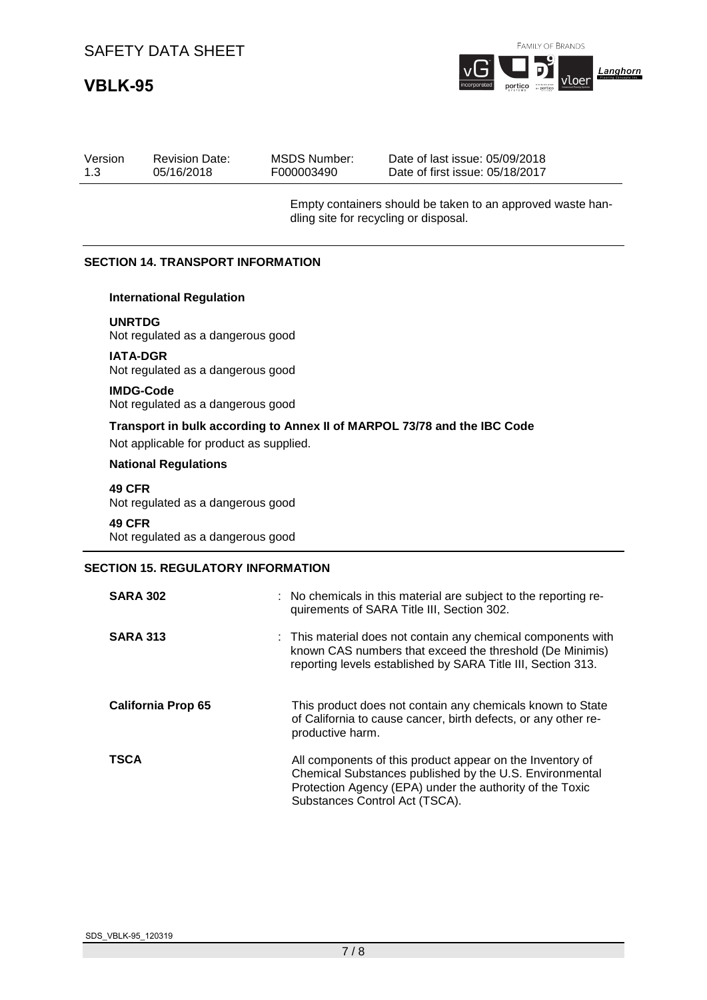# **VBLK-95**



|  | Version<br><b>Revision Date:</b><br>05/16/2018<br>1.3 | MSDS Number:<br>F000003490 | Date of last issue: 05/09/2018<br>Date of first issue: 05/18/2017 |
|--|-------------------------------------------------------|----------------------------|-------------------------------------------------------------------|
|--|-------------------------------------------------------|----------------------------|-------------------------------------------------------------------|

Empty containers should be taken to an approved waste handling site for recycling or disposal.

#### **SECTION 14. TRANSPORT INFORMATION**

#### **International Regulation**

**UNRTDG**

Not regulated as a dangerous good

#### **IATA-DGR**

Not regulated as a dangerous good

#### **IMDG-Code**

Not regulated as a dangerous good

## **Transport in bulk according to Annex II of MARPOL 73/78 and the IBC Code** Not applicable for product as supplied.

#### **National Regulations**

**49 CFR** Not regulated as a dangerous good

## **49 CFR**

Not regulated as a dangerous good

## **SECTION 15. REGULATORY INFORMATION**

| <b>SARA 302</b>           | : No chemicals in this material are subject to the reporting re-<br>quirements of SARA Title III, Section 302.                                                                                                     |
|---------------------------|--------------------------------------------------------------------------------------------------------------------------------------------------------------------------------------------------------------------|
| <b>SARA 313</b>           | : This material does not contain any chemical components with<br>known CAS numbers that exceed the threshold (De Minimis)<br>reporting levels established by SARA Title III, Section 313.                          |
| <b>California Prop 65</b> | This product does not contain any chemicals known to State<br>of California to cause cancer, birth defects, or any other re-<br>productive harm.                                                                   |
| <b>TSCA</b>               | All components of this product appear on the Inventory of<br>Chemical Substances published by the U.S. Environmental<br>Protection Agency (EPA) under the authority of the Toxic<br>Substances Control Act (TSCA). |